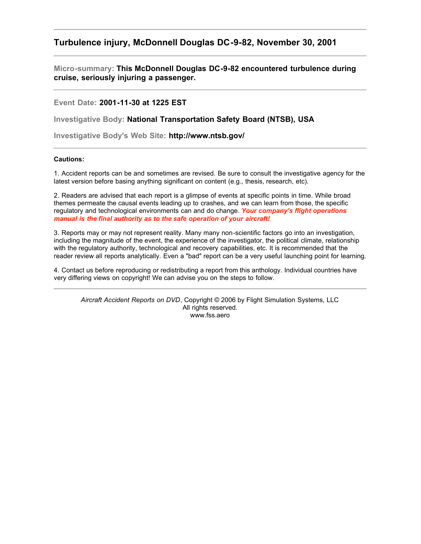## **Turbulence injury, McDonnell Douglas DC-9-82, November 30, 2001**

**Micro-summary: This McDonnell Douglas DC-9-82 encountered turbulence during cruise, seriously injuring a passenger.**

**Event Date: 2001-11-30 at 1225 EST**

**Investigative Body: National Transportation Safety Board (NTSB), USA**

**Investigative Body's Web Site: http://www.ntsb.gov/**

## **Cautions:**

1. Accident reports can be and sometimes are revised. Be sure to consult the investigative agency for the latest version before basing anything significant on content (e.g., thesis, research, etc).

2. Readers are advised that each report is a glimpse of events at specific points in time. While broad themes permeate the causal events leading up to crashes, and we can learn from those, the specific regulatory and technological environments can and do change. *Your company's flight operations manual is the final authority as to the safe operation of your aircraft!*

3. Reports may or may not represent reality. Many many non-scientific factors go into an investigation, including the magnitude of the event, the experience of the investigator, the political climate, relationship with the regulatory authority, technological and recovery capabilities, etc. It is recommended that the reader review all reports analytically. Even a "bad" report can be a very useful launching point for learning.

4. Contact us before reproducing or redistributing a report from this anthology. Individual countries have very differing views on copyright! We can advise you on the steps to follow.

*Aircraft Accident Reports on DVD*, Copyright © 2006 by Flight Simulation Systems, LLC All rights reserved. www.fss.aero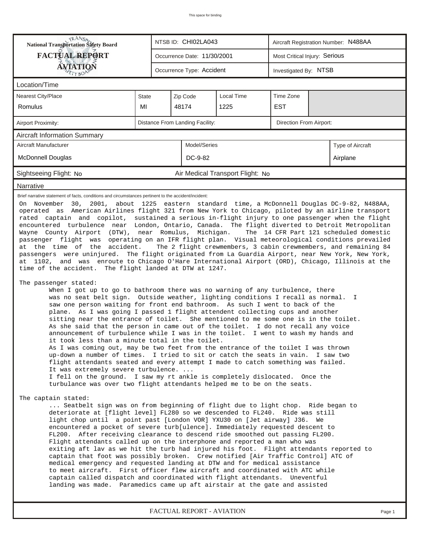| <b>National Transportation Safety Board</b>                                                                                                                |                                                                                                                                                                                                                                                                                                                                                                                                                                                                                                                                                                                                                                                                                                                                                                                                                                                                                                                                                                                                                                                                                                                                                                                                                                                                                                                                                                                                                                                                                                                                                                                                                                                                                                                                                                                                                                                                                                                                                                                                                                                                                                                                                                                                                                                                                                                                                                                                                                                                                                                                                                                                                                                                                                                                                                                                                                                                                                                                                                                                                                                                                                                                                   |  | NTSB ID: CHI02LA043             |            | Aircraft Registration Number: N488AA |  |                  |  |  |  |
|------------------------------------------------------------------------------------------------------------------------------------------------------------|---------------------------------------------------------------------------------------------------------------------------------------------------------------------------------------------------------------------------------------------------------------------------------------------------------------------------------------------------------------------------------------------------------------------------------------------------------------------------------------------------------------------------------------------------------------------------------------------------------------------------------------------------------------------------------------------------------------------------------------------------------------------------------------------------------------------------------------------------------------------------------------------------------------------------------------------------------------------------------------------------------------------------------------------------------------------------------------------------------------------------------------------------------------------------------------------------------------------------------------------------------------------------------------------------------------------------------------------------------------------------------------------------------------------------------------------------------------------------------------------------------------------------------------------------------------------------------------------------------------------------------------------------------------------------------------------------------------------------------------------------------------------------------------------------------------------------------------------------------------------------------------------------------------------------------------------------------------------------------------------------------------------------------------------------------------------------------------------------------------------------------------------------------------------------------------------------------------------------------------------------------------------------------------------------------------------------------------------------------------------------------------------------------------------------------------------------------------------------------------------------------------------------------------------------------------------------------------------------------------------------------------------------------------------------------------------------------------------------------------------------------------------------------------------------------------------------------------------------------------------------------------------------------------------------------------------------------------------------------------------------------------------------------------------------------------------------------------------------------------------------------------------------|--|---------------------------------|------------|--------------------------------------|--|------------------|--|--|--|
| <b>FACTUAL REPORT</b>                                                                                                                                      |                                                                                                                                                                                                                                                                                                                                                                                                                                                                                                                                                                                                                                                                                                                                                                                                                                                                                                                                                                                                                                                                                                                                                                                                                                                                                                                                                                                                                                                                                                                                                                                                                                                                                                                                                                                                                                                                                                                                                                                                                                                                                                                                                                                                                                                                                                                                                                                                                                                                                                                                                                                                                                                                                                                                                                                                                                                                                                                                                                                                                                                                                                                                                   |  | Occurrence Date: 11/30/2001     |            | Most Critical Injury: Serious        |  |                  |  |  |  |
| <b>AVIATION</b>                                                                                                                                            |                                                                                                                                                                                                                                                                                                                                                                                                                                                                                                                                                                                                                                                                                                                                                                                                                                                                                                                                                                                                                                                                                                                                                                                                                                                                                                                                                                                                                                                                                                                                                                                                                                                                                                                                                                                                                                                                                                                                                                                                                                                                                                                                                                                                                                                                                                                                                                                                                                                                                                                                                                                                                                                                                                                                                                                                                                                                                                                                                                                                                                                                                                                                                   |  | Occurrence Type: Accident       |            | Investigated By: NTSB                |  |                  |  |  |  |
| Location/Time                                                                                                                                              |                                                                                                                                                                                                                                                                                                                                                                                                                                                                                                                                                                                                                                                                                                                                                                                                                                                                                                                                                                                                                                                                                                                                                                                                                                                                                                                                                                                                                                                                                                                                                                                                                                                                                                                                                                                                                                                                                                                                                                                                                                                                                                                                                                                                                                                                                                                                                                                                                                                                                                                                                                                                                                                                                                                                                                                                                                                                                                                                                                                                                                                                                                                                                   |  |                                 |            |                                      |  |                  |  |  |  |
| Nearest City/Place                                                                                                                                         | State                                                                                                                                                                                                                                                                                                                                                                                                                                                                                                                                                                                                                                                                                                                                                                                                                                                                                                                                                                                                                                                                                                                                                                                                                                                                                                                                                                                                                                                                                                                                                                                                                                                                                                                                                                                                                                                                                                                                                                                                                                                                                                                                                                                                                                                                                                                                                                                                                                                                                                                                                                                                                                                                                                                                                                                                                                                                                                                                                                                                                                                                                                                                             |  | Zip Code                        | Local Time | Time Zone                            |  |                  |  |  |  |
| <b>Romulus</b>                                                                                                                                             | MI                                                                                                                                                                                                                                                                                                                                                                                                                                                                                                                                                                                                                                                                                                                                                                                                                                                                                                                                                                                                                                                                                                                                                                                                                                                                                                                                                                                                                                                                                                                                                                                                                                                                                                                                                                                                                                                                                                                                                                                                                                                                                                                                                                                                                                                                                                                                                                                                                                                                                                                                                                                                                                                                                                                                                                                                                                                                                                                                                                                                                                                                                                                                                |  | 48174                           | 1225       | <b>EST</b>                           |  |                  |  |  |  |
| Airport Proximity:                                                                                                                                         |                                                                                                                                                                                                                                                                                                                                                                                                                                                                                                                                                                                                                                                                                                                                                                                                                                                                                                                                                                                                                                                                                                                                                                                                                                                                                                                                                                                                                                                                                                                                                                                                                                                                                                                                                                                                                                                                                                                                                                                                                                                                                                                                                                                                                                                                                                                                                                                                                                                                                                                                                                                                                                                                                                                                                                                                                                                                                                                                                                                                                                                                                                                                                   |  | Distance From Landing Facility: |            | Direction From Airport:              |  |                  |  |  |  |
| <b>Aircraft Information Summary</b>                                                                                                                        |                                                                                                                                                                                                                                                                                                                                                                                                                                                                                                                                                                                                                                                                                                                                                                                                                                                                                                                                                                                                                                                                                                                                                                                                                                                                                                                                                                                                                                                                                                                                                                                                                                                                                                                                                                                                                                                                                                                                                                                                                                                                                                                                                                                                                                                                                                                                                                                                                                                                                                                                                                                                                                                                                                                                                                                                                                                                                                                                                                                                                                                                                                                                                   |  |                                 |            |                                      |  |                  |  |  |  |
| Aircraft Manufacturer                                                                                                                                      |                                                                                                                                                                                                                                                                                                                                                                                                                                                                                                                                                                                                                                                                                                                                                                                                                                                                                                                                                                                                                                                                                                                                                                                                                                                                                                                                                                                                                                                                                                                                                                                                                                                                                                                                                                                                                                                                                                                                                                                                                                                                                                                                                                                                                                                                                                                                                                                                                                                                                                                                                                                                                                                                                                                                                                                                                                                                                                                                                                                                                                                                                                                                                   |  | Model/Series                    |            |                                      |  | Type of Aircraft |  |  |  |
| McDonnell Douglas                                                                                                                                          |                                                                                                                                                                                                                                                                                                                                                                                                                                                                                                                                                                                                                                                                                                                                                                                                                                                                                                                                                                                                                                                                                                                                                                                                                                                                                                                                                                                                                                                                                                                                                                                                                                                                                                                                                                                                                                                                                                                                                                                                                                                                                                                                                                                                                                                                                                                                                                                                                                                                                                                                                                                                                                                                                                                                                                                                                                                                                                                                                                                                                                                                                                                                                   |  | DC-9-82                         |            |                                      |  | Airplane         |  |  |  |
| Sightseeing Flight: No                                                                                                                                     |                                                                                                                                                                                                                                                                                                                                                                                                                                                                                                                                                                                                                                                                                                                                                                                                                                                                                                                                                                                                                                                                                                                                                                                                                                                                                                                                                                                                                                                                                                                                                                                                                                                                                                                                                                                                                                                                                                                                                                                                                                                                                                                                                                                                                                                                                                                                                                                                                                                                                                                                                                                                                                                                                                                                                                                                                                                                                                                                                                                                                                                                                                                                                   |  |                                 |            |                                      |  |                  |  |  |  |
| Narrative                                                                                                                                                  |                                                                                                                                                                                                                                                                                                                                                                                                                                                                                                                                                                                                                                                                                                                                                                                                                                                                                                                                                                                                                                                                                                                                                                                                                                                                                                                                                                                                                                                                                                                                                                                                                                                                                                                                                                                                                                                                                                                                                                                                                                                                                                                                                                                                                                                                                                                                                                                                                                                                                                                                                                                                                                                                                                                                                                                                                                                                                                                                                                                                                                                                                                                                                   |  |                                 |            |                                      |  |                  |  |  |  |
| at the time of the accident.<br>The passenger stated:<br>The captain stated:<br>landing was made. Paramedics came up aft airstair at the gate and assisted | Air Medical Transport Flight: No<br>Brief narrative statement of facts, conditions and circumstances pertinent to the accident/incident:<br>On November 30, 2001, about 1225 eastern standard time, a McDonnell Douglas DC-9-82, N488AA,<br>operated as American Airlines flight 321 from New York to Chicago, piloted by an airline transport<br>rated captain and copilot, sustained a serious in-flight injury to one passenger when the flight<br>encountered turbulence near London, Ontario, Canada. The flight diverted to Detroit Metropolitan<br>Wayne County Airport (DTW), near Romulus, Michigan.<br>The 14 CFR Part 121 scheduled domestic<br>passenger flight was operating on an IFR flight plan. Visual meteorological conditions prevailed<br>The 2 flight crewmembers, 3 cabin crewmembers, and remaining 84<br>passengers were uninjured. The flight originated from La Guardia Airport, near New York, New York,<br>at 1102, and was enroute to Chicago O'Hare International Airport (ORD), Chicago, Illinois at the<br>time of the accident. The flight landed at DTW at 1247.<br>When I got up to go to bathroom there was no warning of any turbulence, there<br>was no seat belt sign. Outside weather, lighting conditions I recall as normal.<br>T<br>saw one person waiting for front end bathroom. As such I went to back of the<br>plane. As I was going I passed 1 flight attendent collecting cups and another<br>sitting near the entrance of toilet. She mentioned to me some one is in the toilet.<br>As she said that the person in came out of the toilet. I do not recall any voice<br>announcement of turbulence while I was in the toilet. I went to wash my hands and<br>it took less than a minute total in the toilet.<br>As I was coming out, may be two feet from the entrance of the toilet I was thrown<br>up-down a number of times. I tried to sit or catch the seats in vain. I saw two<br>flight attendants seated and every attempt I made to catch something was failed.<br>It was extremely severe turbulence.<br>I fell on the ground. I saw my rt ankle is completely dislocated. Once the<br>turbulance was over two flight attendants helped me to be on the seats.<br>Seatbelt sign was on from beginning of flight due to light chop. Ride began to<br>deteriorate at [flight level] FL280 so we descended to FL240. Ride was still<br>light chop until a point past [London VOR] YXU30 on [Jet airway] J36. We<br>encountered a pocket of severe turb[ulence]. Immediately requested descent to<br>FL200. After receiving clearance to descend ride smoothed out passing FL200.<br>Flight attendants called up on the interphone and reported a man who was<br>exiting aft lav as we hit the turb had injured his foot. Flight attendants reported to<br>captain that foot was possibly broken. Crew notified [Air Traffic Control] ATC of<br>medical emergency and requested landing at DTW and for medical assistance<br>to meet aircraft. First officer flew aircraft and coordinated with ATC while<br>captain called dispatch and coordinated with flight attendants. Uneventful |  |                                 |            |                                      |  |                  |  |  |  |

*FACTUAL REPORT - AVIATION Page 1*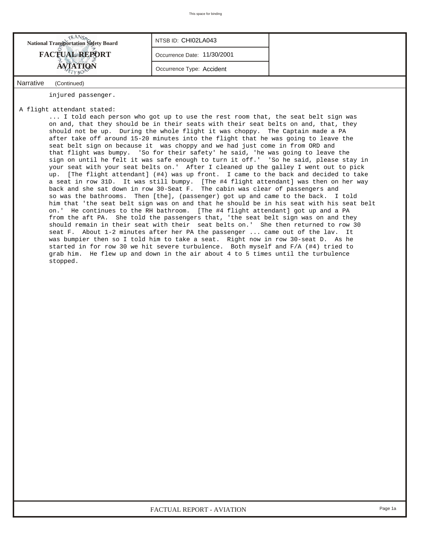| <b>National Transportation Safety Board</b> | NTSB ID: CHI02LA043         |  |
|---------------------------------------------|-----------------------------|--|
| <b>FACTUAL REPORT</b>                       | Occurrence Date: 11/30/2001 |  |
| AVIATION                                    | Occurrence Type: Accident   |  |
| Nanosativa<br>$\sim$ $\sim$ $\sim$ $\sim$   |                             |  |

*Narrative (Continued)*

injured passenger.

## A flight attendant stated:

 ... I told each person who got up to use the rest room that, the seat belt sign was on and, that they should be in their seats with their seat belts on and, that, they should not be up. During the whole flight it was choppy. The Captain made a PA after take off around 15-20 minutes into the flight that he was going to leave the seat belt sign on because it was choppy and we had just come in from ORD and that flight was bumpy. 'So for their safety' he said, 'he was going to leave the sign on until he felt it was safe enough to turn it off.' 'So he said, please stay in your seat with your seat belts on.' After I cleaned up the galley I went out to pick up. [The flight attendant] (#4) was up front. I came to the back and decided to take a seat in row 31D. It was still bumpy. [The #4 flight attendant] was then on her way back and she sat down in row 30-Seat F. The cabin was clear of passengers and so was the bathrooms. Then [the], (passenger) got up and came to the back. I told him that 'the seat belt sign was on and that he should be in his seat with his seat belt on.' He continues to the RH bathroom. [The #4 flight attendant] got up and a PA from the aft PA. She told the passengers that, 'the seat belt sign was on and they should remain in their seat with their seat belts on.' She then returned to row 30 seat F. About 1-2 minutes after her PA the passenger ... came out of the lav. It was bumpier then so I told him to take a seat. Right now in row 30-seat D. As he started in for row 30 we hit severe turbulence. Both myself and F/A (#4) tried to grab him. He flew up and down in the air about 4 to 5 times until the turbulence stopped.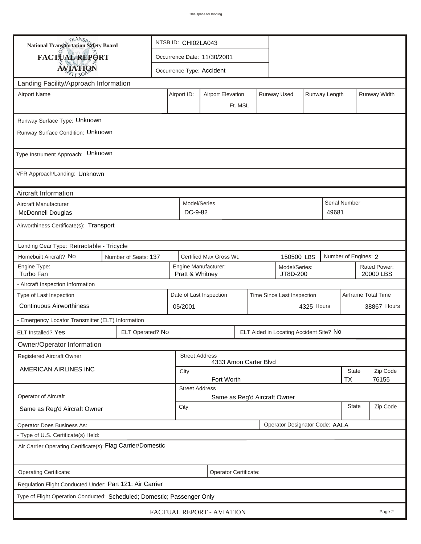| <b>National Transportation Safety Board</b>                                             |                                           |                                                                         | NTSB ID: CHI02LA043                                   |                                                                      |         |  |                                         |  |                      |                           |       |  |
|-----------------------------------------------------------------------------------------|-------------------------------------------|-------------------------------------------------------------------------|-------------------------------------------------------|----------------------------------------------------------------------|---------|--|-----------------------------------------|--|----------------------|---------------------------|-------|--|
| <b>FACTUAL REPORT</b>                                                                   |                                           |                                                                         | Occurrence Date: 11/30/2001                           |                                                                      |         |  |                                         |  |                      |                           |       |  |
| <b>AVIATION</b>                                                                         |                                           |                                                                         | Occurrence Type: Accident                             |                                                                      |         |  |                                         |  |                      |                           |       |  |
| Landing Facility/Approach Information                                                   |                                           |                                                                         |                                                       |                                                                      |         |  |                                         |  |                      |                           |       |  |
| <b>Airport Name</b>                                                                     |                                           | <b>Airport Elevation</b><br>Runway Used<br>Runway Length<br>Airport ID: |                                                       |                                                                      |         |  |                                         |  |                      | Runway Width              |       |  |
|                                                                                         |                                           |                                                                         |                                                       |                                                                      | Ft. MSL |  |                                         |  |                      |                           |       |  |
| Runway Surface Type: Unknown                                                            |                                           |                                                                         |                                                       |                                                                      |         |  |                                         |  |                      |                           |       |  |
| Runway Surface Condition: Unknown                                                       |                                           |                                                                         |                                                       |                                                                      |         |  |                                         |  |                      |                           |       |  |
| Type Instrument Approach: Unknown                                                       |                                           |                                                                         |                                                       |                                                                      |         |  |                                         |  |                      |                           |       |  |
| VFR Approach/Landing: Unknown                                                           |                                           |                                                                         |                                                       |                                                                      |         |  |                                         |  |                      |                           |       |  |
| Aircraft Information                                                                    |                                           |                                                                         |                                                       |                                                                      |         |  |                                         |  |                      |                           |       |  |
| Aircraft Manufacturer<br><b>McDonnell Douglas</b>                                       |                                           |                                                                         | Model/Series<br>DC-9-82                               |                                                                      |         |  |                                         |  | 49681                | <b>Serial Number</b>      |       |  |
| Airworthiness Certificate(s): Transport                                                 |                                           |                                                                         |                                                       |                                                                      |         |  |                                         |  |                      |                           |       |  |
|                                                                                         | Landing Gear Type: Retractable - Tricycle |                                                                         |                                                       |                                                                      |         |  |                                         |  |                      |                           |       |  |
| Homebuilt Aircraft? No<br>Certified Max Gross Wt.<br>Number of Seats: 137<br>150500 LBS |                                           |                                                                         |                                                       |                                                                      |         |  |                                         |  | Number of Engines: 2 |                           |       |  |
| Engine Type:<br>Turbo Fan                                                               |                                           |                                                                         |                                                       | Engine Manufacturer:<br>Model/Series:<br>Pratt & Whitney<br>JT8D-200 |         |  |                                         |  |                      | Rated Power:<br>20000 LBS |       |  |
| - Aircraft Inspection Information                                                       |                                           |                                                                         |                                                       |                                                                      |         |  |                                         |  |                      |                           |       |  |
| Type of Last Inspection                                                                 |                                           |                                                                         | Date of Last Inspection<br>Time Since Last Inspection |                                                                      |         |  |                                         |  |                      | Airframe Total Time       |       |  |
| <b>Continuous Airworthiness</b>                                                         |                                           |                                                                         | 4325 Hours<br>05/2001                                 |                                                                      |         |  |                                         |  |                      | 38867 Hours               |       |  |
| - Emergency Locator Transmitter (ELT) Information                                       |                                           |                                                                         |                                                       |                                                                      |         |  |                                         |  |                      |                           |       |  |
| ELT Installed? Yes                                                                      | ELT Operated? No                          |                                                                         |                                                       |                                                                      |         |  | ELT Aided in Locating Accident Site? No |  |                      |                           |       |  |
| Owner/Operator Information                                                              |                                           |                                                                         |                                                       |                                                                      |         |  |                                         |  |                      |                           |       |  |
| Registered Aircraft Owner                                                               |                                           |                                                                         | <b>Street Address</b>                                 | 4333 Amon Carter Blvd                                                |         |  |                                         |  |                      |                           |       |  |
| AMERICAN AIRLINES INC                                                                   |                                           | <b>State</b><br>City<br>Fort Worth                                      |                                                       |                                                                      |         |  |                                         |  |                      | Zip Code                  |       |  |
|                                                                                         |                                           |                                                                         | <b>Street Address</b>                                 |                                                                      |         |  |                                         |  |                      | TX                        | 76155 |  |
| Operator of Aircraft                                                                    | Same as Reg'd Aircraft Owner              |                                                                         |                                                       |                                                                      |         |  |                                         |  |                      |                           |       |  |
| Same as Reg'd Aircraft Owner                                                            |                                           | <b>State</b><br>City                                                    |                                                       |                                                                      |         |  |                                         |  | Zip Code             |                           |       |  |
| Operator Designator Code: AALA<br>Operator Does Business As:                            |                                           |                                                                         |                                                       |                                                                      |         |  |                                         |  |                      |                           |       |  |
| - Type of U.S. Certificate(s) Held:                                                     |                                           |                                                                         |                                                       |                                                                      |         |  |                                         |  |                      |                           |       |  |
| Air Carrier Operating Certificate(s): Flag Carrier/Domestic                             |                                           |                                                                         |                                                       |                                                                      |         |  |                                         |  |                      |                           |       |  |
| Operating Certificate:<br>Operator Certificate:                                         |                                           |                                                                         |                                                       |                                                                      |         |  |                                         |  |                      |                           |       |  |
| Regulation Flight Conducted Under: Part 121: Air Carrier                                |                                           |                                                                         |                                                       |                                                                      |         |  |                                         |  |                      |                           |       |  |
| Type of Flight Operation Conducted: Scheduled; Domestic; Passenger Only                 |                                           |                                                                         |                                                       |                                                                      |         |  |                                         |  |                      |                           |       |  |
| FACTUAL REPORT - AVIATION<br>Page 2                                                     |                                           |                                                                         |                                                       |                                                                      |         |  |                                         |  |                      |                           |       |  |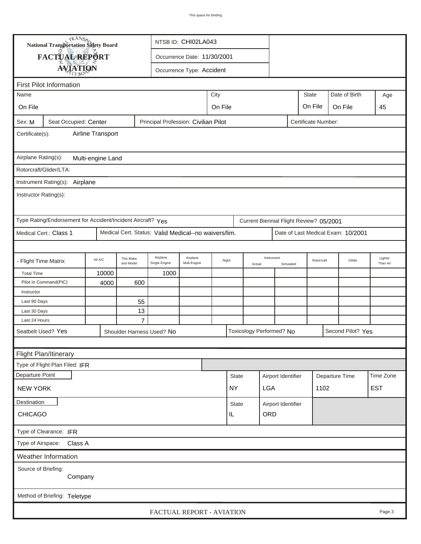|                                                                                                | <b>National Transportation Safety Board</b>                 |                   | NTSB ID: CHI02LA043       |                                                      |                         |       |              |        |                          |                                      |                                         |  |                                    |                     |
|------------------------------------------------------------------------------------------------|-------------------------------------------------------------|-------------------|---------------------------|------------------------------------------------------|-------------------------|-------|--------------|--------|--------------------------|--------------------------------------|-----------------------------------------|--|------------------------------------|---------------------|
|                                                                                                | FACTUAL REPORT                                              |                   |                           | Occurrence Date: 11/30/2001                          |                         |       |              |        |                          |                                      |                                         |  |                                    |                     |
|                                                                                                | <b>AVIATION</b>                                             |                   |                           | Occurrence Type: Accident                            |                         |       |              |        |                          |                                      |                                         |  |                                    |                     |
|                                                                                                | <b>First Pilot Information</b>                              |                   |                           |                                                      |                         |       |              |        |                          |                                      |                                         |  |                                    |                     |
|                                                                                                | <b>State</b><br>Date of Birth<br>City<br>Name<br>Age        |                   |                           |                                                      |                         |       |              |        |                          |                                      |                                         |  |                                    |                     |
|                                                                                                |                                                             |                   |                           |                                                      |                         |       |              |        |                          |                                      |                                         |  |                                    |                     |
|                                                                                                | On File<br>On File<br>On File<br>On File<br>45              |                   |                           |                                                      |                         |       |              |        |                          |                                      |                                         |  |                                    |                     |
| Principal Profession: Civilian Pilot<br>Seat Occupied: Center<br>Certificate Number:<br>Sex: M |                                                             |                   |                           |                                                      |                         |       |              |        |                          |                                      |                                         |  |                                    |                     |
| Airline Transport<br>Certificate(s):                                                           |                                                             |                   |                           |                                                      |                         |       |              |        |                          |                                      |                                         |  |                                    |                     |
|                                                                                                |                                                             |                   |                           |                                                      |                         |       |              |        |                          |                                      |                                         |  |                                    |                     |
| Airplane Rating(s):                                                                            |                                                             | Multi-engine Land |                           |                                                      |                         |       |              |        |                          |                                      |                                         |  |                                    |                     |
|                                                                                                | Rotorcraft/Glider/LTA:                                      |                   |                           |                                                      |                         |       |              |        |                          |                                      |                                         |  |                                    |                     |
|                                                                                                | Instrument Rating(s): Airplane                              |                   |                           |                                                      |                         |       |              |        |                          |                                      |                                         |  |                                    |                     |
| Instructor Rating(s):                                                                          |                                                             |                   |                           |                                                      |                         |       |              |        |                          |                                      |                                         |  |                                    |                     |
|                                                                                                | Type Rating/Endorsement for Accident/Incident Aircraft? Yes |                   |                           |                                                      |                         |       |              |        |                          |                                      | Current Biennial Flight Review? 05/2001 |  |                                    |                     |
|                                                                                                | Medical Cert.: Class 1                                      |                   |                           | Medical Cert. Status: Valid Medical--no waivers/lim. |                         |       |              |        |                          |                                      |                                         |  | Date of Last Medical Exam: 10/2001 |                     |
|                                                                                                |                                                             |                   |                           |                                                      |                         |       |              |        |                          |                                      |                                         |  |                                    |                     |
| - Flight Time Matrix                                                                           |                                                             | All A/C           | This Make<br>and Model    | Airplane<br>Single Engine                            | Airplane<br>Mult-Engine | Night |              | Actual | Instrument<br>Simulated  |                                      | Rotorcraft                              |  | Glider                             | Lighter<br>Than Air |
| <b>Total Time</b>                                                                              |                                                             | 10000             |                           | 1000                                                 |                         |       |              |        |                          |                                      |                                         |  |                                    |                     |
|                                                                                                | Pilot In Command(PIC)                                       | 4000              | 600                       |                                                      |                         |       |              |        |                          |                                      |                                         |  |                                    |                     |
| Instructor                                                                                     |                                                             |                   |                           |                                                      |                         |       |              |        |                          |                                      |                                         |  |                                    |                     |
| Last 90 Days                                                                                   |                                                             |                   | 55                        |                                                      |                         |       |              |        |                          |                                      |                                         |  |                                    |                     |
| Last 30 Days                                                                                   |                                                             |                   | 13                        |                                                      |                         |       |              |        |                          |                                      |                                         |  |                                    |                     |
| Last 24 Hours                                                                                  |                                                             |                   | $\overline{7}$            |                                                      |                         |       |              |        |                          |                                      |                                         |  |                                    |                     |
|                                                                                                | Seatbelt Used? Yes                                          |                   | Shoulder Harness Used? No |                                                      |                         |       |              |        | Toxicology Performed? No |                                      |                                         |  | Second Pilot? Yes                  |                     |
|                                                                                                |                                                             |                   |                           |                                                      |                         |       |              |        |                          |                                      |                                         |  |                                    |                     |
|                                                                                                | Flight Plan/Itinerary                                       |                   |                           |                                                      |                         |       |              |        |                          |                                      |                                         |  |                                    |                     |
|                                                                                                | Type of Flight Plan Filed: IFR                              |                   |                           |                                                      |                         |       |              |        |                          |                                      |                                         |  |                                    |                     |
| Departure Point                                                                                |                                                             |                   |                           |                                                      |                         |       | <b>State</b> |        |                          | Airport Identifier<br>Departure Time |                                         |  |                                    | Time Zone           |
| <b>NEW YORK</b>                                                                                |                                                             |                   |                           |                                                      |                         |       | <b>NY</b>    |        | <b>LGA</b>               |                                      | 1102                                    |  |                                    | <b>EST</b>          |
| Destination                                                                                    |                                                             |                   |                           |                                                      |                         |       | State        |        | Airport Identifier       |                                      |                                         |  |                                    |                     |
| <b>CHICAGO</b>                                                                                 |                                                             |                   |                           |                                                      |                         |       | IL           |        | ORD                      |                                      |                                         |  |                                    |                     |
| Type of Clearance: IFR                                                                         |                                                             |                   |                           |                                                      |                         |       |              |        |                          |                                      |                                         |  |                                    |                     |
| Type of Airspace: Class A                                                                      |                                                             |                   |                           |                                                      |                         |       |              |        |                          |                                      |                                         |  |                                    |                     |
| Weather Information                                                                            |                                                             |                   |                           |                                                      |                         |       |              |        |                          |                                      |                                         |  |                                    |                     |
| Source of Briefing:<br>Company                                                                 |                                                             |                   |                           |                                                      |                         |       |              |        |                          |                                      |                                         |  |                                    |                     |
|                                                                                                | Method of Briefing: Teletype                                |                   |                           |                                                      |                         |       |              |        |                          |                                      |                                         |  |                                    |                     |
|                                                                                                |                                                             |                   |                           | FACTUAL REPORT - AVIATION                            |                         |       |              |        |                          |                                      |                                         |  |                                    | Page 3              |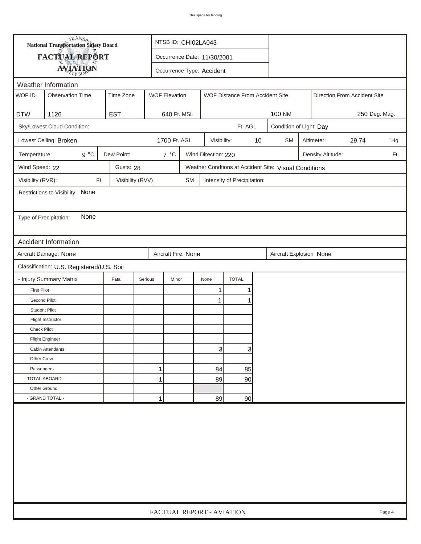|                        | <b>National Transportation Safety Board</b><br>NTSB ID: CHI02LA043 |                  |                      |                             |                     |                                 |    |                                                       |                              |            |       |     |  |
|------------------------|--------------------------------------------------------------------|------------------|----------------------|-----------------------------|---------------------|---------------------------------|----|-------------------------------------------------------|------------------------------|------------|-------|-----|--|
|                        | <b>FACTUAL REPORT</b>                                              |                  |                      | Occurrence Date: 11/30/2001 |                     |                                 |    |                                                       |                              |            |       |     |  |
|                        | <b>AVIATION</b>                                                    |                  |                      | Occurrence Type: Accident   |                     |                                 |    |                                                       |                              |            |       |     |  |
| Weather Information    |                                                                    |                  |                      |                             |                     |                                 |    |                                                       |                              |            |       |     |  |
| WOF ID                 | <b>Observation Time</b>                                            | Time Zone        | <b>WOF Elevation</b> |                             |                     | WOF Distance From Accident Site |    |                                                       | Direction From Accident Site |            |       |     |  |
|                        |                                                                    |                  |                      |                             |                     |                                 |    |                                                       |                              |            |       |     |  |
| <b>DTW</b>             | 1126                                                               | <b>EST</b>       | 640 Ft. MSL          |                             |                     |                                 |    | <b>100 NM</b><br>250 Deg. Mag.                        |                              |            |       |     |  |
|                        | Sky/Lowest Cloud Condition:                                        |                  |                      |                             |                     | Ft. AGL                         |    | Condition of Light: Day                               |                              |            |       |     |  |
|                        | Lowest Ceiling: Broken                                             |                  | 1700 Ft. AGL         |                             | Visibility:         |                                 | 10 | <b>SM</b>                                             |                              | Altimeter: | 29.74 | "Hg |  |
| Temperature:           | $9^{\circ}C$                                                       | Dew Point:       | $7^{\circ}C$         |                             | Wind Direction: 220 |                                 |    | Density Altitude:<br>Ft.                              |                              |            |       |     |  |
| Wind Speed: 22         |                                                                    | Gusts: 28        |                      |                             |                     |                                 |    | Weather Condtions at Accident Site: Visual Conditions |                              |            |       |     |  |
| Visibility (RVR):      | Ft.                                                                | Visibility (RVV) |                      | <b>SM</b>                   |                     | Intensity of Precipitation:     |    |                                                       |                              |            |       |     |  |
|                        | Restrictions to Visibility: None                                   |                  |                      |                             |                     |                                 |    |                                                       |                              |            |       |     |  |
|                        |                                                                    |                  |                      |                             |                     |                                 |    |                                                       |                              |            |       |     |  |
| Type of Precipitation: | None                                                               |                  |                      |                             |                     |                                 |    |                                                       |                              |            |       |     |  |
|                        |                                                                    |                  |                      |                             |                     |                                 |    |                                                       |                              |            |       |     |  |
|                        | <b>Accident Information</b>                                        |                  |                      |                             |                     |                                 |    |                                                       |                              |            |       |     |  |
|                        | Aircraft Damage: None                                              |                  | Aircraft Fire: None  |                             |                     |                                 |    | Aircraft Explosion None                               |                              |            |       |     |  |
|                        | Classification: U.S. Registered/U.S. Soil                          |                  |                      |                             |                     |                                 |    |                                                       |                              |            |       |     |  |
|                        | - Injury Summary Matrix                                            | Fatal            | Serious<br>Minor     |                             | None                | <b>TOTAL</b>                    |    |                                                       |                              |            |       |     |  |
| <b>First Pilot</b>     |                                                                    |                  |                      |                             | $\mathbf{1}$        | 1                               |    |                                                       |                              |            |       |     |  |
| Second Pilot           |                                                                    |                  |                      |                             | 1                   |                                 |    |                                                       |                              |            |       |     |  |
| <b>Student Pilot</b>   |                                                                    |                  |                      |                             |                     |                                 |    |                                                       |                              |            |       |     |  |
|                        | Flight Instructor                                                  |                  |                      |                             |                     |                                 |    |                                                       |                              |            |       |     |  |
| Check Pilot            |                                                                    |                  |                      |                             |                     |                                 |    |                                                       |                              |            |       |     |  |
|                        | <b>Flight Engineer</b>                                             |                  |                      |                             |                     |                                 |    |                                                       |                              |            |       |     |  |
|                        | Cabin Attendants                                                   |                  |                      |                             | 3                   | 3                               |    |                                                       |                              |            |       |     |  |
| Other Crew             |                                                                    |                  |                      |                             |                     |                                 |    |                                                       |                              |            |       |     |  |
| Passengers             |                                                                    |                  | 1                    |                             | 84                  | 85                              |    |                                                       |                              |            |       |     |  |
| - TOTAL ABOARD -       |                                                                    |                  | 1                    |                             | 89                  | 90                              |    |                                                       |                              |            |       |     |  |
| Other Ground           |                                                                    |                  |                      |                             |                     |                                 |    |                                                       |                              |            |       |     |  |
|                        | - GRAND TOTAL -                                                    |                  | 1                    |                             | 89                  | 90                              |    |                                                       |                              |            |       |     |  |
|                        |                                                                    |                  |                      |                             |                     |                                 |    |                                                       |                              |            |       |     |  |
|                        | FACTUAL REPORT - AVIATION<br>Page 4                                |                  |                      |                             |                     |                                 |    |                                                       |                              |            |       |     |  |